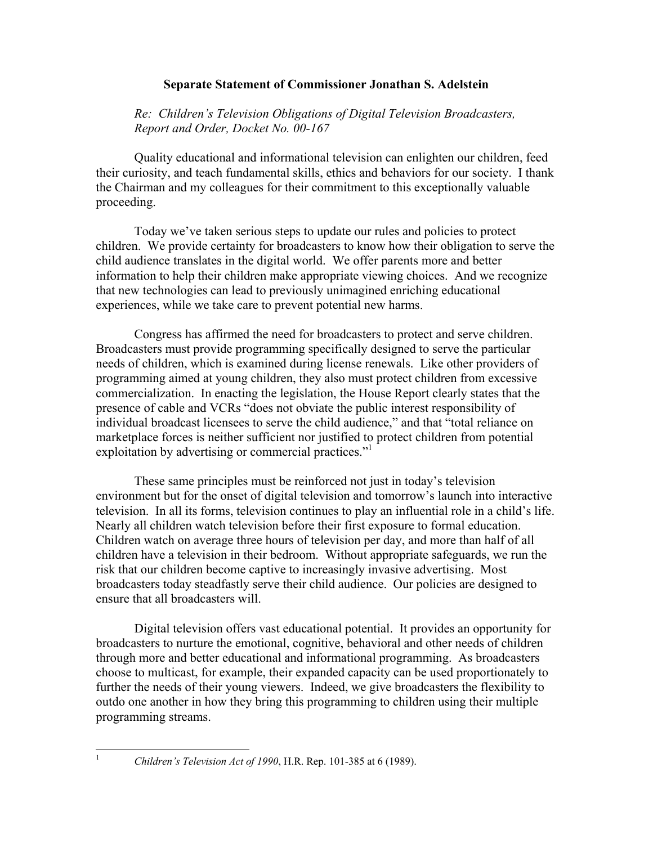## **Separate Statement of Commissioner Jonathan S. Adelstein**

*Re: Children's Television Obligations of Digital Television Broadcasters, Report and Order, Docket No. 00-167* 

Quality educational and informational television can enlighten our children, feed their curiosity, and teach fundamental skills, ethics and behaviors for our society. I thank the Chairman and my colleagues for their commitment to this exceptionally valuable proceeding.

Today we've taken serious steps to update our rules and policies to protect children. We provide certainty for broadcasters to know how their obligation to serve the child audience translates in the digital world. We offer parents more and better information to help their children make appropriate viewing choices. And we recognize that new technologies can lead to previously unimagined enriching educational experiences, while we take care to prevent potential new harms.

Congress has affirmed the need for broadcasters to protect and serve children. Broadcasters must provide programming specifically designed to serve the particular needs of children, which is examined during license renewals. Like other providers of programming aimed at young children, they also must protect children from excessive commercialization. In enacting the legislation, the House Report clearly states that the presence of cable and VCRs "does not obviate the public interest responsibility of individual broadcast licensees to serve the child audience," and that "total reliance on marketplace forces is neither sufficient nor justified to protect children from potential exploitation by advertising or commercial practices."<sup>1</sup>

These same principles must be reinforced not just in today's television environment but for the onset of digital television and tomorrow's launch into interactive television. In all its forms, television continues to play an influential role in a child's life. Nearly all children watch television before their first exposure to formal education. Children watch on average three hours of television per day, and more than half of all children have a television in their bedroom. Without appropriate safeguards, we run the risk that our children become captive to increasingly invasive advertising. Most broadcasters today steadfastly serve their child audience. Our policies are designed to ensure that all broadcasters will.

Digital television offers vast educational potential. It provides an opportunity for broadcasters to nurture the emotional, cognitive, behavioral and other needs of children through more and better educational and informational programming. As broadcasters choose to multicast, for example, their expanded capacity can be used proportionately to further the needs of their young viewers. Indeed, we give broadcasters the flexibility to outdo one another in how they bring this programming to children using their multiple programming streams.

 $\frac{1}{1}$ 

*Children's Television Act of 1990*, H.R. Rep. 101-385 at 6 (1989).